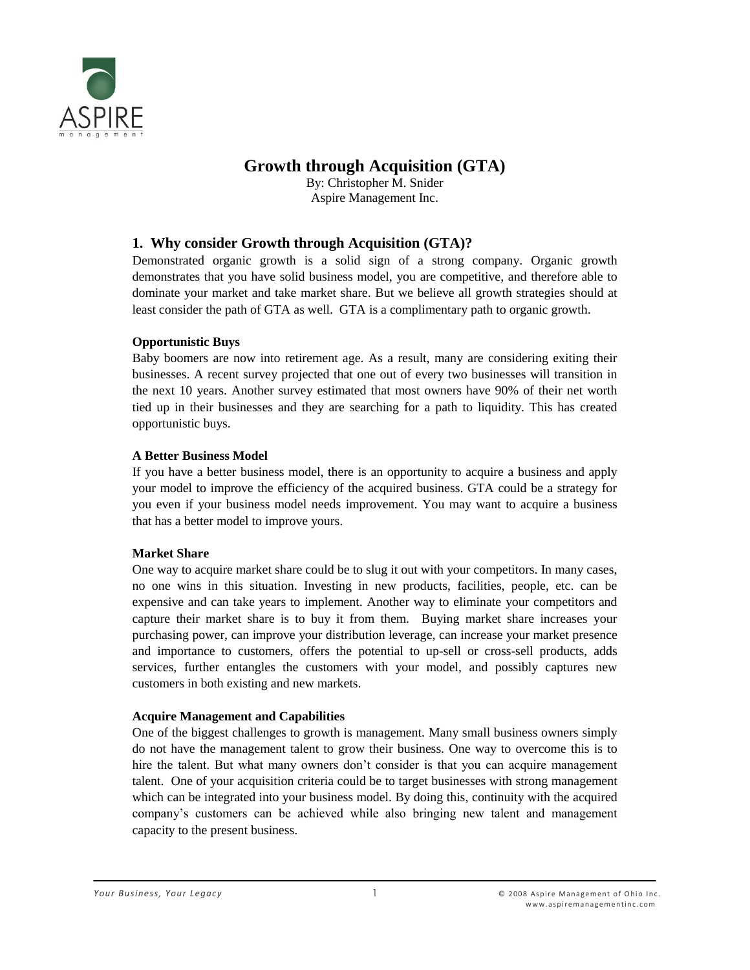

# **Growth through Acquisition (GTA)**

By: Christopher M. Snider Aspire Management Inc.

# **1. Why consider Growth through Acquisition (GTA)?**

Demonstrated organic growth is a solid sign of a strong company. Organic growth demonstrates that you have solid business model, you are competitive, and therefore able to dominate your market and take market share. But we believe all growth strategies should at least consider the path of GTA as well. GTA is a complimentary path to organic growth.

### **Opportunistic Buys**

Baby boomers are now into retirement age. As a result, many are considering exiting their businesses. A recent survey projected that one out of every two businesses will transition in the next 10 years. Another survey estimated that most owners have 90% of their net worth tied up in their businesses and they are searching for a path to liquidity. This has created opportunistic buys.

### **A Better Business Model**

If you have a better business model, there is an opportunity to acquire a business and apply your model to improve the efficiency of the acquired business. GTA could be a strategy for you even if your business model needs improvement. You may want to acquire a business that has a better model to improve yours.

### **Market Share**

One way to acquire market share could be to slug it out with your competitors. In many cases, no one wins in this situation. Investing in new products, facilities, people, etc. can be expensive and can take years to implement. Another way to eliminate your competitors and capture their market share is to buy it from them. Buying market share increases your purchasing power, can improve your distribution leverage, can increase your market presence and importance to customers, offers the potential to up-sell or cross-sell products, adds services, further entangles the customers with your model, and possibly captures new customers in both existing and new markets.

### **Acquire Management and Capabilities**

One of the biggest challenges to growth is management. Many small business owners simply do not have the management talent to grow their business. One way to overcome this is to hire the talent. But what many owners don't consider is that you can acquire management talent. One of your acquisition criteria could be to target businesses with strong management which can be integrated into your business model. By doing this, continuity with the acquired company's customers can be achieved while also bringing new talent and management capacity to the present business.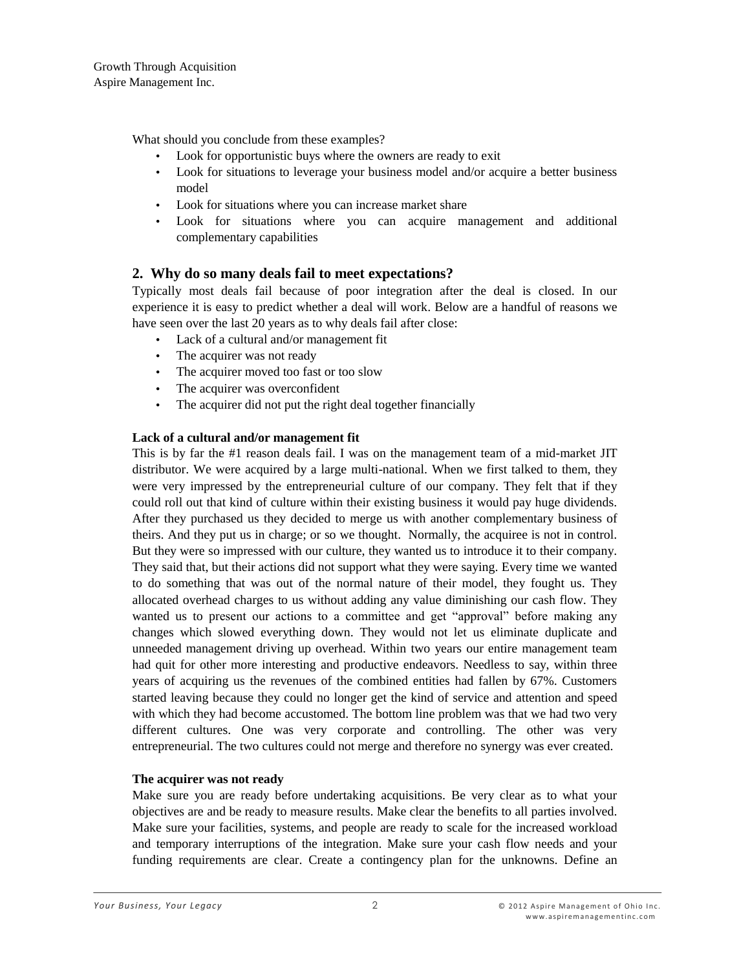What should you conclude from these examples?

- Look for opportunistic buys where the owners are ready to exit
- Look for situations to leverage your business model and/or acquire a better business model
- Look for situations where you can increase market share
- Look for situations where you can acquire management and additional complementary capabilities

# **2. Why do so many deals fail to meet expectations?**

Typically most deals fail because of poor integration after the deal is closed. In our experience it is easy to predict whether a deal will work. Below are a handful of reasons we have seen over the last 20 years as to why deals fail after close:

- Lack of a cultural and/or management fit
- The acquirer was not ready
- The acquirer moved too fast or too slow
- The acquirer was overconfident
- The acquirer did not put the right deal together financially

### **Lack of a cultural and/or management fit**

This is by far the #1 reason deals fail. I was on the management team of a mid-market JIT distributor. We were acquired by a large multi-national. When we first talked to them, they were very impressed by the entrepreneurial culture of our company. They felt that if they could roll out that kind of culture within their existing business it would pay huge dividends. After they purchased us they decided to merge us with another complementary business of theirs. And they put us in charge; or so we thought. Normally, the acquiree is not in control. But they were so impressed with our culture, they wanted us to introduce it to their company. They said that, but their actions did not support what they were saying. Every time we wanted to do something that was out of the normal nature of their model, they fought us. They allocated overhead charges to us without adding any value diminishing our cash flow. They wanted us to present our actions to a committee and get "approval" before making any changes which slowed everything down. They would not let us eliminate duplicate and unneeded management driving up overhead. Within two years our entire management team had quit for other more interesting and productive endeavors. Needless to say, within three years of acquiring us the revenues of the combined entities had fallen by 67%. Customers started leaving because they could no longer get the kind of service and attention and speed with which they had become accustomed. The bottom line problem was that we had two very different cultures. One was very corporate and controlling. The other was very entrepreneurial. The two cultures could not merge and therefore no synergy was ever created.

### **The acquirer was not ready**

Make sure you are ready before undertaking acquisitions. Be very clear as to what your objectives are and be ready to measure results. Make clear the benefits to all parties involved. Make sure your facilities, systems, and people are ready to scale for the increased workload and temporary interruptions of the integration. Make sure your cash flow needs and your funding requirements are clear. Create a contingency plan for the unknowns. Define an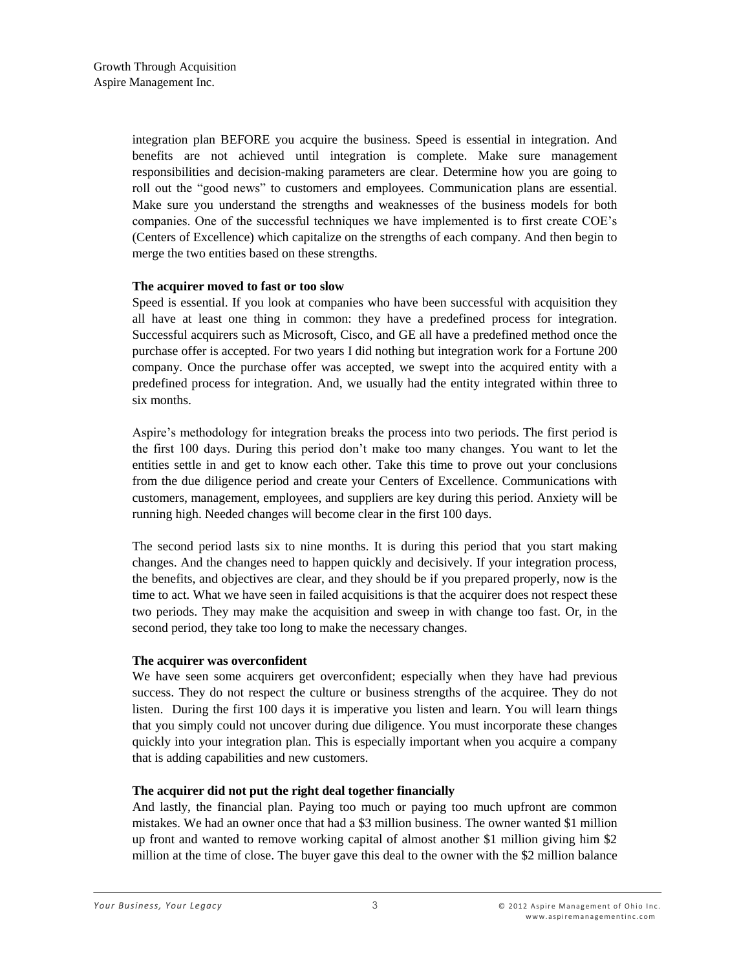integration plan BEFORE you acquire the business. Speed is essential in integration. And benefits are not achieved until integration is complete. Make sure management responsibilities and decision-making parameters are clear. Determine how you are going to roll out the "good news" to customers and employees. Communication plans are essential. Make sure you understand the strengths and weaknesses of the business models for both companies. One of the successful techniques we have implemented is to first create COE's (Centers of Excellence) which capitalize on the strengths of each company. And then begin to merge the two entities based on these strengths.

#### **The acquirer moved to fast or too slow**

Speed is essential. If you look at companies who have been successful with acquisition they all have at least one thing in common: they have a predefined process for integration. Successful acquirers such as Microsoft, Cisco, and GE all have a predefined method once the purchase offer is accepted. For two years I did nothing but integration work for a Fortune 200 company. Once the purchase offer was accepted, we swept into the acquired entity with a predefined process for integration. And, we usually had the entity integrated within three to six months.

Aspire's methodology for integration breaks the process into two periods. The first period is the first 100 days. During this period don't make too many changes. You want to let the entities settle in and get to know each other. Take this time to prove out your conclusions from the due diligence period and create your Centers of Excellence. Communications with customers, management, employees, and suppliers are key during this period. Anxiety will be running high. Needed changes will become clear in the first 100 days.

The second period lasts six to nine months. It is during this period that you start making changes. And the changes need to happen quickly and decisively. If your integration process, the benefits, and objectives are clear, and they should be if you prepared properly, now is the time to act. What we have seen in failed acquisitions is that the acquirer does not respect these two periods. They may make the acquisition and sweep in with change too fast. Or, in the second period, they take too long to make the necessary changes.

### **The acquirer was overconfident**

We have seen some acquirers get overconfident; especially when they have had previous success. They do not respect the culture or business strengths of the acquiree. They do not listen. During the first 100 days it is imperative you listen and learn. You will learn things that you simply could not uncover during due diligence. You must incorporate these changes quickly into your integration plan. This is especially important when you acquire a company that is adding capabilities and new customers.

### **The acquirer did not put the right deal together financially**

And lastly, the financial plan. Paying too much or paying too much upfront are common mistakes. We had an owner once that had a \$3 million business. The owner wanted \$1 million up front and wanted to remove working capital of almost another \$1 million giving him \$2 million at the time of close. The buyer gave this deal to the owner with the \$2 million balance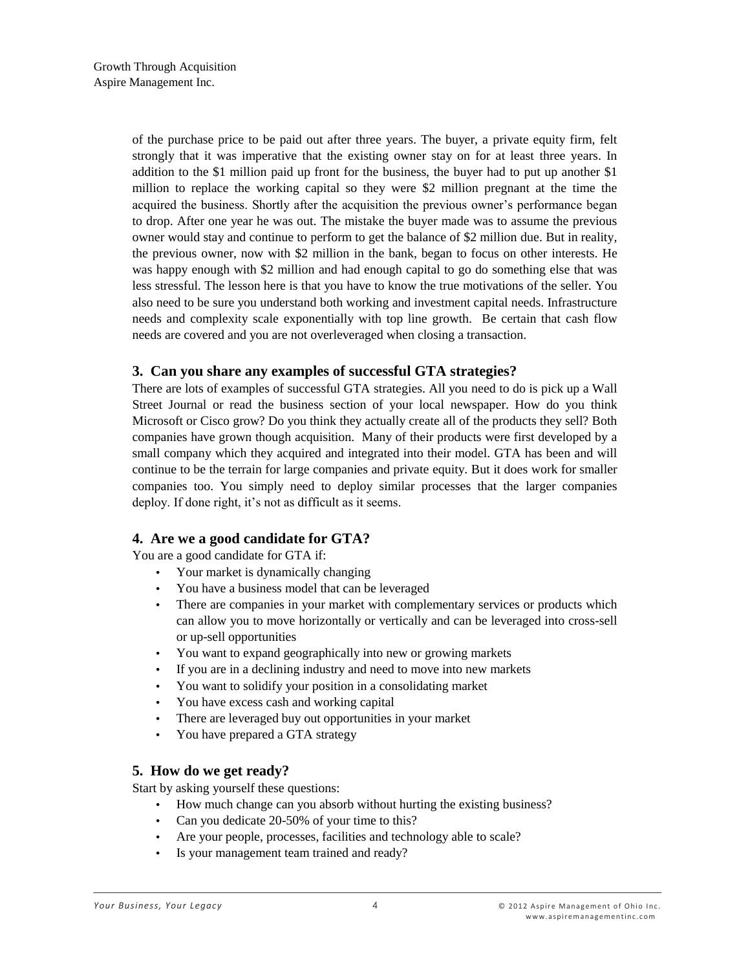of the purchase price to be paid out after three years. The buyer, a private equity firm, felt strongly that it was imperative that the existing owner stay on for at least three years. In addition to the \$1 million paid up front for the business, the buyer had to put up another \$1 million to replace the working capital so they were \$2 million pregnant at the time the acquired the business. Shortly after the acquisition the previous owner's performance began to drop. After one year he was out. The mistake the buyer made was to assume the previous owner would stay and continue to perform to get the balance of \$2 million due. But in reality, the previous owner, now with \$2 million in the bank, began to focus on other interests. He was happy enough with \$2 million and had enough capital to go do something else that was less stressful. The lesson here is that you have to know the true motivations of the seller. You also need to be sure you understand both working and investment capital needs. Infrastructure needs and complexity scale exponentially with top line growth. Be certain that cash flow needs are covered and you are not overleveraged when closing a transaction.

# **3. Can you share any examples of successful GTA strategies?**

There are lots of examples of successful GTA strategies. All you need to do is pick up a Wall Street Journal or read the business section of your local newspaper. How do you think Microsoft or Cisco grow? Do you think they actually create all of the products they sell? Both companies have grown though acquisition. Many of their products were first developed by a small company which they acquired and integrated into their model. GTA has been and will continue to be the terrain for large companies and private equity. But it does work for smaller companies too. You simply need to deploy similar processes that the larger companies deploy. If done right, it's not as difficult as it seems.

# **4. Are we a good candidate for GTA?**

You are a good candidate for GTA if:

- Your market is dynamically changing
- You have a business model that can be leveraged
- There are companies in your market with complementary services or products which can allow you to move horizontally or vertically and can be leveraged into cross-sell or up-sell opportunities
- You want to expand geographically into new or growing markets
- If you are in a declining industry and need to move into new markets
- You want to solidify your position in a consolidating market
- You have excess cash and working capital
- There are leveraged buy out opportunities in your market
- You have prepared a GTA strategy

### **5. How do we get ready?**

Start by asking yourself these questions:

- How much change can you absorb without hurting the existing business?
- Can you dedicate 20-50% of your time to this?
- Are your people, processes, facilities and technology able to scale?
- Is your management team trained and ready?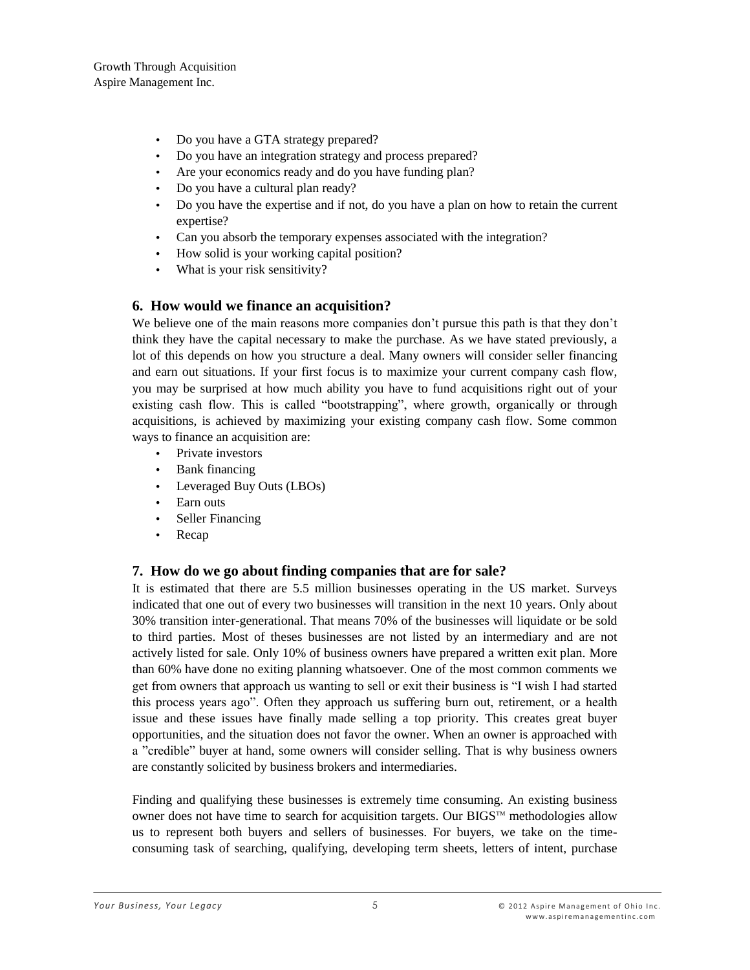Growth Through Acquisition Aspire Management Inc.

- Do you have a GTA strategy prepared?
- Do you have an integration strategy and process prepared?
- Are your economics ready and do you have funding plan?
- Do you have a cultural plan ready?
- Do you have the expertise and if not, do you have a plan on how to retain the current expertise?
- Can you absorb the temporary expenses associated with the integration?
- How solid is your working capital position?
- What is your risk sensitivity?

# **6. How would we finance an acquisition?**

We believe one of the main reasons more companies don't pursue this path is that they don't think they have the capital necessary to make the purchase. As we have stated previously, a lot of this depends on how you structure a deal. Many owners will consider seller financing and earn out situations. If your first focus is to maximize your current company cash flow, you may be surprised at how much ability you have to fund acquisitions right out of your existing cash flow. This is called "bootstrapping", where growth, organically or through acquisitions, is achieved by maximizing your existing company cash flow. Some common ways to finance an acquisition are:

- Private investors
- Bank financing
- Leveraged Buy Outs (LBOs)
- Earn outs
- Seller Financing
- Recap

# **7. How do we go about finding companies that are for sale?**

It is estimated that there are 5.5 million businesses operating in the US market. Surveys indicated that one out of every two businesses will transition in the next 10 years. Only about 30% transition inter-generational. That means 70% of the businesses will liquidate or be sold to third parties. Most of theses businesses are not listed by an intermediary and are not actively listed for sale. Only 10% of business owners have prepared a written exit plan. More than 60% have done no exiting planning whatsoever. One of the most common comments we get from owners that approach us wanting to sell or exit their business is "I wish I had started this process years ago". Often they approach us suffering burn out, retirement, or a health issue and these issues have finally made selling a top priority. This creates great buyer opportunities, and the situation does not favor the owner. When an owner is approached with a "credible" buyer at hand, some owners will consider selling. That is why business owners are constantly solicited by business brokers and intermediaries.

Finding and qualifying these businesses is extremely time consuming. An existing business owner does not have time to search for acquisition targets. Our BIGS<sup>TM</sup> methodologies allow us to represent both buyers and sellers of businesses. For buyers, we take on the timeconsuming task of searching, qualifying, developing term sheets, letters of intent, purchase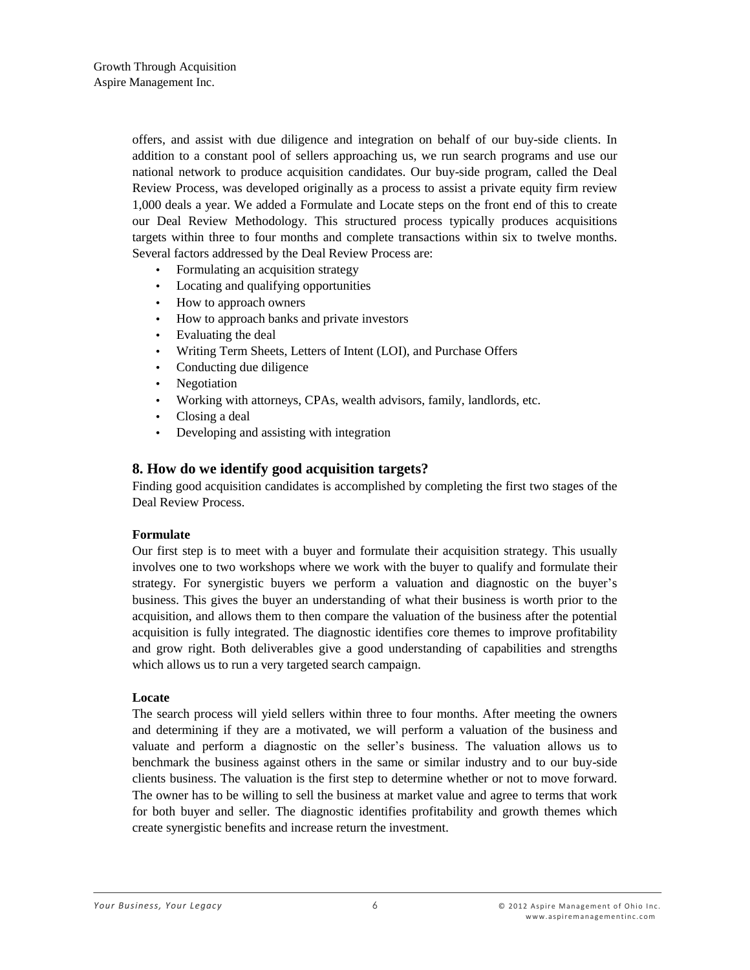offers, and assist with due diligence and integration on behalf of our buy-side clients. In addition to a constant pool of sellers approaching us, we run search programs and use our national network to produce acquisition candidates. Our buy-side program, called the Deal Review Process, was developed originally as a process to assist a private equity firm review 1,000 deals a year. We added a Formulate and Locate steps on the front end of this to create our Deal Review Methodology. This structured process typically produces acquisitions targets within three to four months and complete transactions within six to twelve months. Several factors addressed by the Deal Review Process are:

- Formulating an acquisition strategy
- Locating and qualifying opportunities
- How to approach owners
- How to approach banks and private investors
- Evaluating the deal
- Writing Term Sheets, Letters of Intent (LOI), and Purchase Offers
- Conducting due diligence
- Negotiation
- Working with attorneys, CPAs, wealth advisors, family, landlords, etc.
- Closing a deal
- Developing and assisting with integration

# **8. How do we identify good acquisition targets?**

Finding good acquisition candidates is accomplished by completing the first two stages of the Deal Review Process.

### **Formulate**

Our first step is to meet with a buyer and formulate their acquisition strategy. This usually involves one to two workshops where we work with the buyer to qualify and formulate their strategy. For synergistic buyers we perform a valuation and diagnostic on the buyer's business. This gives the buyer an understanding of what their business is worth prior to the acquisition, and allows them to then compare the valuation of the business after the potential acquisition is fully integrated. The diagnostic identifies core themes to improve profitability and grow right. Both deliverables give a good understanding of capabilities and strengths which allows us to run a very targeted search campaign.

### **Locate**

The search process will yield sellers within three to four months. After meeting the owners and determining if they are a motivated, we will perform a valuation of the business and valuate and perform a diagnostic on the seller's business. The valuation allows us to benchmark the business against others in the same or similar industry and to our buy-side clients business. The valuation is the first step to determine whether or not to move forward. The owner has to be willing to sell the business at market value and agree to terms that work for both buyer and seller. The diagnostic identifies profitability and growth themes which create synergistic benefits and increase return the investment.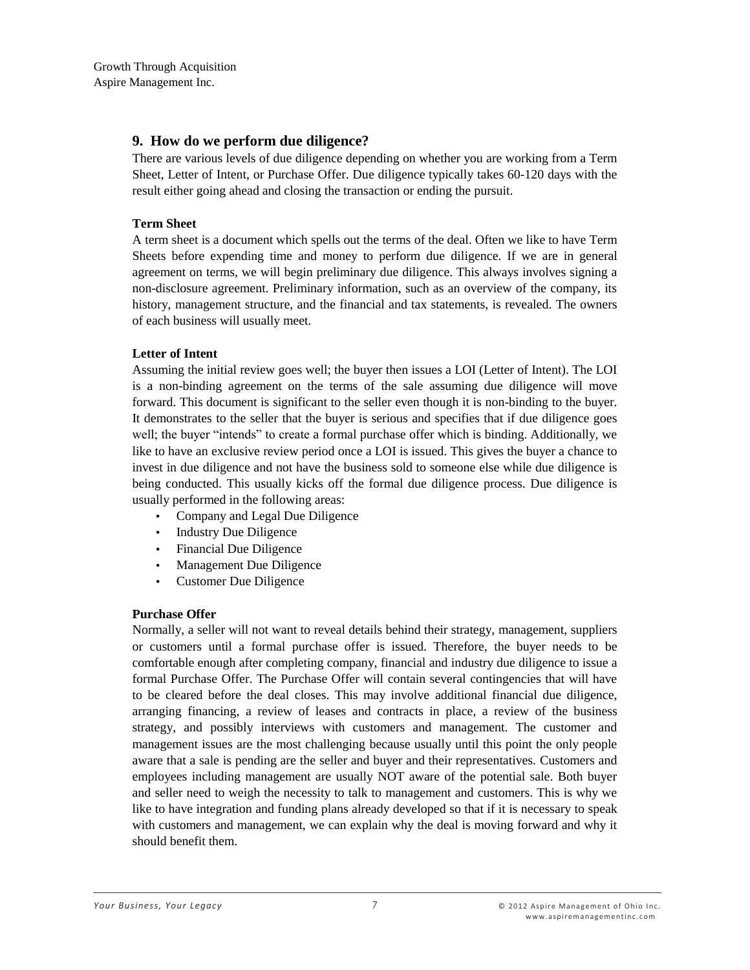Growth Through Acquisition Aspire Management Inc.

# **9. How do we perform due diligence?**

There are various levels of due diligence depending on whether you are working from a Term Sheet, Letter of Intent, or Purchase Offer. Due diligence typically takes 60-120 days with the result either going ahead and closing the transaction or ending the pursuit.

### **Term Sheet**

A term sheet is a document which spells out the terms of the deal. Often we like to have Term Sheets before expending time and money to perform due diligence. If we are in general agreement on terms, we will begin preliminary due diligence. This always involves signing a non-disclosure agreement. Preliminary information, such as an overview of the company, its history, management structure, and the financial and tax statements, is revealed. The owners of each business will usually meet.

### **Letter of Intent**

Assuming the initial review goes well; the buyer then issues a LOI (Letter of Intent). The LOI is a non-binding agreement on the terms of the sale assuming due diligence will move forward. This document is significant to the seller even though it is non-binding to the buyer. It demonstrates to the seller that the buyer is serious and specifies that if due diligence goes well; the buyer "intends" to create a formal purchase offer which is binding. Additionally, we like to have an exclusive review period once a LOI is issued. This gives the buyer a chance to invest in due diligence and not have the business sold to someone else while due diligence is being conducted. This usually kicks off the formal due diligence process. Due diligence is usually performed in the following areas:

- Company and Legal Due Diligence
- Industry Due Diligence
- Financial Due Diligence
- Management Due Diligence
- Customer Due Diligence

### **Purchase Offer**

Normally, a seller will not want to reveal details behind their strategy, management, suppliers or customers until a formal purchase offer is issued. Therefore, the buyer needs to be comfortable enough after completing company, financial and industry due diligence to issue a formal Purchase Offer. The Purchase Offer will contain several contingencies that will have to be cleared before the deal closes. This may involve additional financial due diligence, arranging financing, a review of leases and contracts in place, a review of the business strategy, and possibly interviews with customers and management. The customer and management issues are the most challenging because usually until this point the only people aware that a sale is pending are the seller and buyer and their representatives. Customers and employees including management are usually NOT aware of the potential sale. Both buyer and seller need to weigh the necessity to talk to management and customers. This is why we like to have integration and funding plans already developed so that if it is necessary to speak with customers and management, we can explain why the deal is moving forward and why it should benefit them.